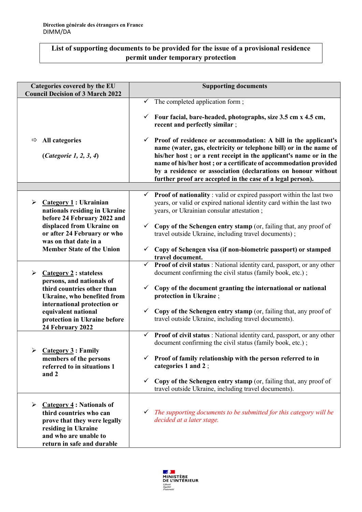## List of supporting documents to be provided for the issue of a provisional residence permit under temporary protection

| Categories covered by the EU<br><b>Council Decision of 3 March 2022</b>                                                                                                | <b>Supporting documents</b>                                                                                                                                                                                                                                                                                                                                                                                               |
|------------------------------------------------------------------------------------------------------------------------------------------------------------------------|---------------------------------------------------------------------------------------------------------------------------------------------------------------------------------------------------------------------------------------------------------------------------------------------------------------------------------------------------------------------------------------------------------------------------|
|                                                                                                                                                                        | $\checkmark$ The completed application form;                                                                                                                                                                                                                                                                                                                                                                              |
|                                                                                                                                                                        | Four facial, bare-headed, photographs, size 3.5 cm x 4.5 cm,<br>$\checkmark$<br>recent and perfectly similar;                                                                                                                                                                                                                                                                                                             |
| <b>All categories</b><br>⇨<br>( <i>Categorie 1, 2, 3, 4</i> )                                                                                                          | $\checkmark$ Proof of residence or accommodation: A bill in the applicant's<br>name (water, gas, electricity or telephone bill) or in the name of<br>his/her host; or a rent receipt in the applicant's name or in the<br>name of his/her host; or a certificate of accommodation provided<br>by a residence or association (declarations on honour without<br>further proof are accepted in the case of a legal person). |
|                                                                                                                                                                        |                                                                                                                                                                                                                                                                                                                                                                                                                           |
| $\blacktriangleright$<br>Categorical: Ukrainian<br>nationals residing in Ukraine<br>before 24 February 2022 and                                                        | $\checkmark$ Proof of nationality : valid or expired passport within the last two<br>years, or valid or expired national identity card within the last two<br>years, or Ukrainian consular attestation;                                                                                                                                                                                                                   |
| displaced from Ukraine on<br>or after 24 February or who<br>was on that date in a                                                                                      | Copy of the Schengen entry stamp (or, failing that, any proof of<br>$\checkmark$<br>travel outside Ukraine, including travel documents);                                                                                                                                                                                                                                                                                  |
| <b>Member State of the Union</b>                                                                                                                                       | Copy of Schengen visa (if non-biometric passport) or stamped<br>✓<br>travel document.                                                                                                                                                                                                                                                                                                                                     |
| Category 2 : stateless<br>➤<br>persons, and nationals of                                                                                                               | $\checkmark$ Proof of civil status : National identity card, passport, or any other<br>document confirming the civil status (family book, etc.);                                                                                                                                                                                                                                                                          |
| third countries other than<br>Ukraine, who benefited from                                                                                                              | Copy of the document granting the international or national<br>$\checkmark$<br>protection in Ukraine;                                                                                                                                                                                                                                                                                                                     |
| international protection or<br>equivalent national<br>protection in Ukraine before<br>24 February 2022                                                                 | Copy of the Schengen entry stamp (or, failing that, any proof of<br>$\checkmark$<br>travel outside Ukraine, including travel documents).                                                                                                                                                                                                                                                                                  |
|                                                                                                                                                                        | Proof of civil status: National identity card, passport, or any other<br>$\checkmark$<br>document confirming the civil status (family book, etc.);                                                                                                                                                                                                                                                                        |
| $\triangleright$ Category 3 : Family<br>members of the persons<br>referred to in situations 1<br>and 2                                                                 | $\checkmark$ Proof of family relationship with the person referred to in<br>categories 1 and 2;                                                                                                                                                                                                                                                                                                                           |
|                                                                                                                                                                        | Copy of the Schengen entry stamp (or, failing that, any proof of<br>$\checkmark$<br>travel outside Ukraine, including travel documents).                                                                                                                                                                                                                                                                                  |
| Category 4: Nationals of<br>➤<br>third countries who can<br>prove that they were legally<br>residing in Ukraine<br>and who are unable to<br>return in safe and durable | The supporting documents to be submitted for this category will be<br>$\checkmark$<br>decided at a later stage.                                                                                                                                                                                                                                                                                                           |
|                                                                                                                                                                        |                                                                                                                                                                                                                                                                                                                                                                                                                           |